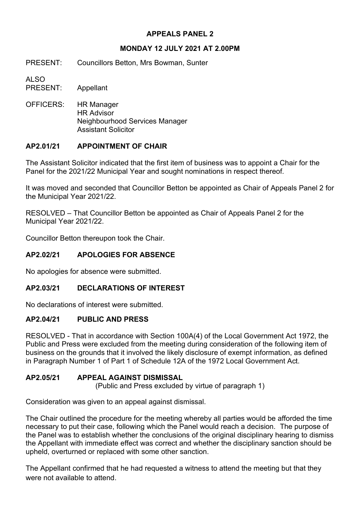# **APPEALS PANEL 2**

## **MONDAY 12 JULY 2021 AT 2.00PM**

PRESENT: Councillors Betton, Mrs Bowman, Sunter

ALSO

PRESENT: Appellant

OFFICERS: HR Manager HR Advisor Neighbourhood Services Manager Assistant Solicitor

# **AP2.01/21 APPOINTMENT OF CHAIR**

The Assistant Solicitor indicated that the first item of business was to appoint a Chair for the Panel for the 2021/22 Municipal Year and sought nominations in respect thereof.

It was moved and seconded that Councillor Betton be appointed as Chair of Appeals Panel 2 for the Municipal Year 2021/22.

RESOLVED – That Councillor Betton be appointed as Chair of Appeals Panel 2 for the Municipal Year 2021/22.

Councillor Betton thereupon took the Chair.

## **AP2.02/21 APOLOGIES FOR ABSENCE**

No apologies for absence were submitted.

## **AP2.03/21 DECLARATIONS OF INTEREST**

No declarations of interest were submitted.

# **AP2.04/21 PUBLIC AND PRESS**

RESOLVED - That in accordance with Section 100A(4) of the Local Government Act 1972, the Public and Press were excluded from the meeting during consideration of the following item of business on the grounds that it involved the likely disclosure of exempt information, as defined in Paragraph Number 1 of Part 1 of Schedule 12A of the 1972 Local Government Act.

## **AP2.05/21 APPEAL AGAINST DISMISSAL**

(Public and Press excluded by virtue of paragraph 1)

Consideration was given to an appeal against dismissal.

The Chair outlined the procedure for the meeting whereby all parties would be afforded the time necessary to put their case, following which the Panel would reach a decision. The purpose of the Panel was to establish whether the conclusions of the original disciplinary hearing to dismiss the Appellant with immediate effect was correct and whether the disciplinary sanction should be upheld, overturned or replaced with some other sanction.

The Appellant confirmed that he had requested a witness to attend the meeting but that they were not available to attend.